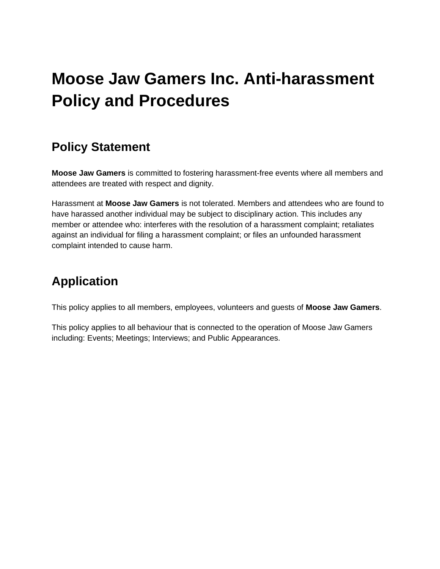# **Moose Jaw Gamers Inc. Anti-harassment Policy and Procedures**

### **Policy Statement**

**Moose Jaw Gamers** is committed to fostering harassment-free events where all members and attendees are treated with respect and dignity.

Harassment at **Moose Jaw Gamers** is not tolerated. Members and attendees who are found to have harassed another individual may be subject to disciplinary action. This includes any member or attendee who: interferes with the resolution of a harassment complaint; retaliates against an individual for filing a harassment complaint; or files an unfounded harassment complaint intended to cause harm.

## **Application**

This policy applies to all members, employees, volunteers and guests of **Moose Jaw Gamers**.

This policy applies to all behaviour that is connected to the operation of Moose Jaw Gamers including: Events; Meetings; Interviews; and Public Appearances.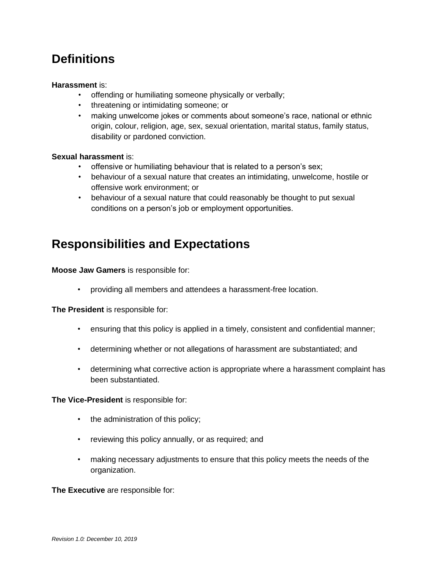## **Definitions**

#### **Harassment** is:

- offending or humiliating someone physically or verbally;
- threatening or intimidating someone; or
- making unwelcome jokes or comments about someone's race, national or ethnic origin, colour, religion, age, sex, sexual orientation, marital status, family status, disability or pardoned conviction.

#### **Sexual harassment** is:

- offensive or humiliating behaviour that is related to a person's sex;
- behaviour of a sexual nature that creates an intimidating, unwelcome, hostile or offensive work environment; or
- behaviour of a sexual nature that could reasonably be thought to put sexual conditions on a person's job or employment opportunities.

### **Responsibilities and Expectations**

**Moose Jaw Gamers** is responsible for:

• providing all members and attendees a harassment-free location.

**The President** is responsible for:

- ensuring that this policy is applied in a timely, consistent and confidential manner;
- determining whether or not allegations of harassment are substantiated; and
- determining what corrective action is appropriate where a harassment complaint has been substantiated.

**The Vice-President** is responsible for:

- the administration of this policy;
- reviewing this policy annually, or as required; and
- making necessary adjustments to ensure that this policy meets the needs of the organization.

**The Executive** are responsible for: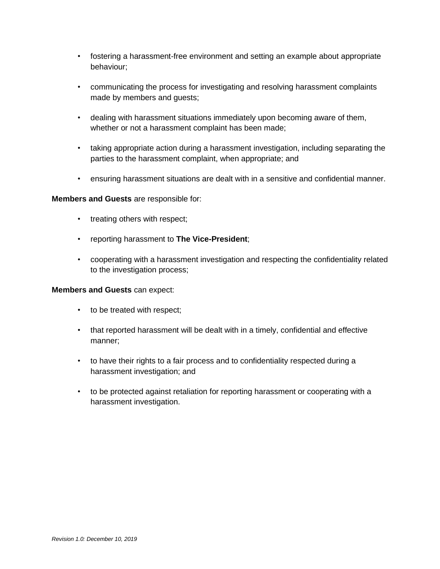- fostering a harassment-free environment and setting an example about appropriate behaviour;
- communicating the process for investigating and resolving harassment complaints made by members and guests;
- dealing with harassment situations immediately upon becoming aware of them, whether or not a harassment complaint has been made;
- taking appropriate action during a harassment investigation, including separating the parties to the harassment complaint, when appropriate; and
- ensuring harassment situations are dealt with in a sensitive and confidential manner.

#### **Members and Guests** are responsible for:

- treating others with respect;
- reporting harassment to **The Vice-President**;
- cooperating with a harassment investigation and respecting the confidentiality related to the investigation process;

#### **Members and Guests** can expect:

- to be treated with respect;
- that reported harassment will be dealt with in a timely, confidential and effective manner;
- to have their rights to a fair process and to confidentiality respected during a harassment investigation; and
- to be protected against retaliation for reporting harassment or cooperating with a harassment investigation.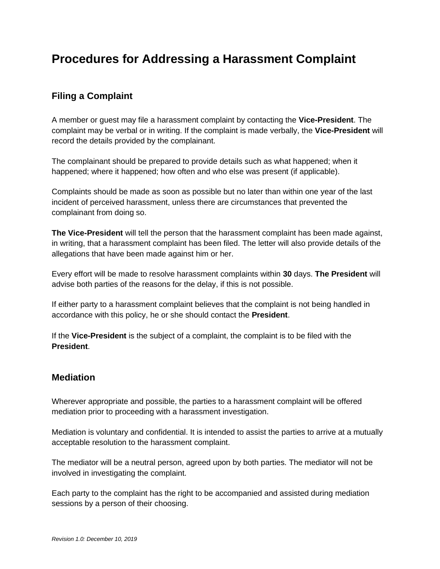### **Procedures for Addressing a Harassment Complaint**

#### **Filing a Complaint**

A member or guest may file a harassment complaint by contacting the **Vice-President**. The complaint may be verbal or in writing. If the complaint is made verbally, the **Vice-President** will record the details provided by the complainant.

The complainant should be prepared to provide details such as what happened; when it happened; where it happened; how often and who else was present (if applicable).

Complaints should be made as soon as possible but no later than within one year of the last incident of perceived harassment, unless there are circumstances that prevented the complainant from doing so.

**The Vice-President** will tell the person that the harassment complaint has been made against, in writing, that a harassment complaint has been filed. The letter will also provide details of the allegations that have been made against him or her.

Every effort will be made to resolve harassment complaints within **30** days. **The President** will advise both parties of the reasons for the delay, if this is not possible.

If either party to a harassment complaint believes that the complaint is not being handled in accordance with this policy, he or she should contact the **President**.

If the **Vice-President** is the subject of a complaint, the complaint is to be filed with the **President**.

#### **Mediation**

Wherever appropriate and possible, the parties to a harassment complaint will be offered mediation prior to proceeding with a harassment investigation.

Mediation is voluntary and confidential. It is intended to assist the parties to arrive at a mutually acceptable resolution to the harassment complaint.

The mediator will be a neutral person, agreed upon by both parties. The mediator will not be involved in investigating the complaint.

Each party to the complaint has the right to be accompanied and assisted during mediation sessions by a person of their choosing.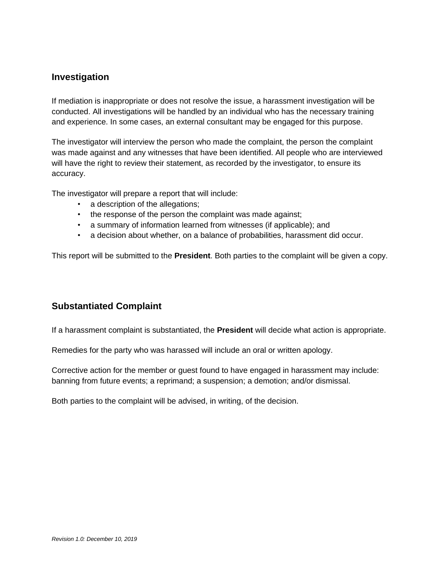#### **Investigation**

If mediation is inappropriate or does not resolve the issue, a harassment investigation will be conducted. All investigations will be handled by an individual who has the necessary training and experience. In some cases, an external consultant may be engaged for this purpose.

The investigator will interview the person who made the complaint, the person the complaint was made against and any witnesses that have been identified. All people who are interviewed will have the right to review their statement, as recorded by the investigator, to ensure its accuracy.

The investigator will prepare a report that will include:

- a description of the allegations;
- the response of the person the complaint was made against;
- a summary of information learned from witnesses (if applicable); and
- a decision about whether, on a balance of probabilities, harassment did occur.

This report will be submitted to the **President**. Both parties to the complaint will be given a copy.

#### **Substantiated Complaint**

If a harassment complaint is substantiated, the **President** will decide what action is appropriate.

Remedies for the party who was harassed will include an oral or written apology.

Corrective action for the member or guest found to have engaged in harassment may include: banning from future events; a reprimand; a suspension; a demotion; and/or dismissal.

Both parties to the complaint will be advised, in writing, of the decision.